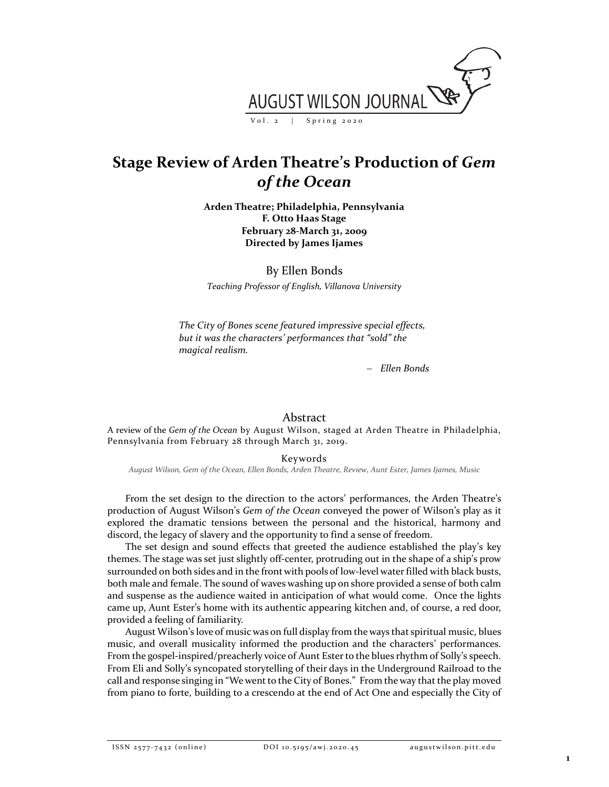

## **Stage Review of Arden Theatre's Production of** *Gem of the Ocean*

**Arden Theatre; Philadelphia, Pennsylvania F. Otto Haas Stage February 28-March 31, 2009 Directed by James Ijames**

By Ellen Bonds *Teaching Professor of English, Villanova University*

*The City of Bones scene featured impressive special effects, but it was the characters' performances that "sold" the magical realism.*

− *Ellen Bonds*

## Abstract

A review of the *Gem of the Ocean* by August Wilson, staged at Arden Theatre in Philadelphia, Pennsylvania from February 28 through March 31, 2019.

Keywords

*August Wilson, Gem of the Ocean, Ellen Bonds, Arden Theatre, Review, Aunt Ester, James Ijames, Music*

From the set design to the direction to the actors' performances, the Arden Theatre's production of August Wilson's *Gem of the Ocean* conveyed the power of Wilson's play as it explored the dramatic tensions between the personal and the historical, harmony and discord, the legacy of slavery and the opportunity to find a sense of freedom.

The set design and sound effects that greeted the audience established the play's key themes. The stage was set just slightly off-center, protruding out in the shape of a ship's prow surrounded on both sides and in the front with pools of low-level water filled with black busts, both male and female. The sound of waves washing up on shore provided a sense of both calm and suspense as the audience waited in anticipation of what would come. Once the lights came up, Aunt Ester's home with its authentic appearing kitchen and, of course, a red door, provided a feeling of familiarity.

August Wilson's love of music was on full display from the ways that spiritual music, blues music, and overall musicality informed the production and the characters' performances. From the gospel-inspired/preacherly voice of Aunt Ester to the blues rhythm of Solly's speech. From Eli and Solly's syncopated storytelling of their days in the Underground Railroad to the call and response singing in "We went to the City of Bones." From the way that the play moved from piano to forte, building to a crescendo at the end of Act One and especially the City of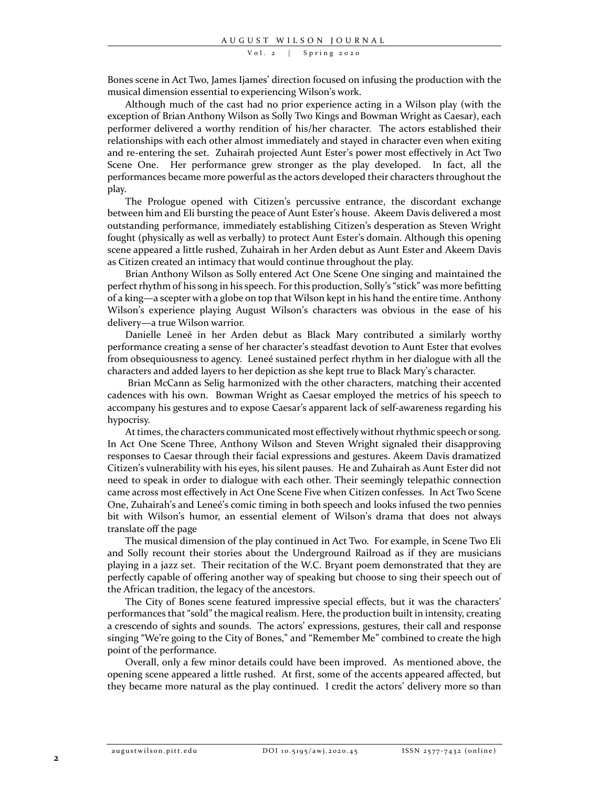Vol. 2 | Spring 2020

Bones scene in Act Two, James Ijames' direction focused on infusing the production with the musical dimension essential to experiencing Wilson's work.

Although much of the cast had no prior experience acting in a Wilson play (with the exception of Brian Anthony Wilson as Solly Two Kings and Bowman Wright as Caesar), each performer delivered a worthy rendition of his/her character. The actors established their relationships with each other almost immediately and stayed in character even when exiting and re-entering the set. Zuhairah projected Aunt Ester's power most effectively in Act Two Scene One. Her performance grew stronger as the play developed. In fact, all the performances became more powerful as the actors developed their characters throughout the play.

The Prologue opened with Citizen's percussive entrance, the discordant exchange between him and Eli bursting the peace of Aunt Ester's house. Akeem Davis delivered a most outstanding performance, immediately establishing Citizen's desperation as Steven Wright fought (physically as well as verbally) to protect Aunt Ester's domain. Although this opening scene appeared a little rushed, Zuhairah in her Arden debut as Aunt Ester and Akeem Davis as Citizen created an intimacy that would continue throughout the play.

Brian Anthony Wilson as Solly entered Act One Scene One singing and maintained the perfect rhythm of his song in his speech. For this production, Solly's "stick" was more befitting of a king—a scepter with a globe on top that Wilson kept in his hand the entire time. Anthony Wilson's experience playing August Wilson's characters was obvious in the ease of his delivery—a true Wilson warrior.

Danielle Leneé in her Arden debut as Black Mary contributed a similarly worthy performance creating a sense of her character's steadfast devotion to Aunt Ester that evolves from obsequiousness to agency. Leneé sustained perfect rhythm in her dialogue with all the characters and added layers to her depiction as she kept true to Black Mary's character.

Brian McCann as Selig harmonized with the other characters, matching their accented cadences with his own. Bowman Wright as Caesar employed the metrics of his speech to accompany his gestures and to expose Caesar's apparent lack of self-awareness regarding his hypocrisy.

At times, the characters communicated most effectively without rhythmic speech or song. In Act One Scene Three, Anthony Wilson and Steven Wright signaled their disapproving responses to Caesar through their facial expressions and gestures. Akeem Davis dramatized Citizen's vulnerability with his eyes, his silent pauses. He and Zuhairah as Aunt Ester did not need to speak in order to dialogue with each other. Their seemingly telepathic connection came across most effectively in Act One Scene Five when Citizen confesses. In Act Two Scene One, Zuhairah's and Leneé's comic timing in both speech and looks infused the two pennies bit with Wilson's humor, an essential element of Wilson's drama that does not always translate off the page

The musical dimension of the play continued in Act Two. For example, in Scene Two Eli and Solly recount their stories about the Underground Railroad as if they are musicians playing in a jazz set. Their recitation of the W.C. Bryant poem demonstrated that they are perfectly capable of offering another way of speaking but choose to sing their speech out of the African tradition, the legacy of the ancestors.

The City of Bones scene featured impressive special effects, but it was the characters' performances that "sold" the magical realism. Here, the production built in intensity, creating a crescendo of sights and sounds. The actors' expressions, gestures, their call and response singing "We're going to the City of Bones," and "Remember Me" combined to create the high point of the performance.

Overall, only a few minor details could have been improved. As mentioned above, the opening scene appeared a little rushed. At first, some of the accents appeared affected, but they became more natural as the play continued. I credit the actors' delivery more so than